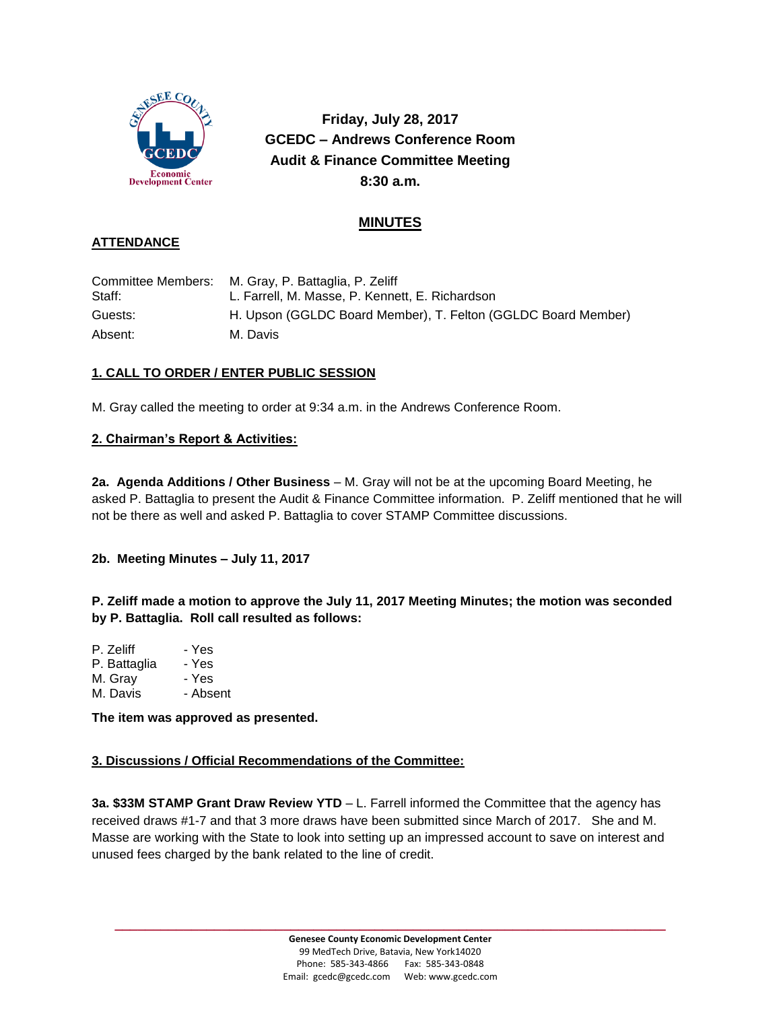

**Friday, July 28, 2017 GCEDC – Andrews Conference Room Audit & Finance Committee Meeting 8:30 a.m.**

# **MINUTES**

## **ATTENDANCE**

|         | Committee Members: M. Gray, P. Battaglia, P. Zeliff           |
|---------|---------------------------------------------------------------|
| Staff:  | L. Farrell, M. Masse, P. Kennett, E. Richardson               |
| Guests: | H. Upson (GGLDC Board Member), T. Felton (GGLDC Board Member) |
| Absent: | M. Davis                                                      |

### **1. CALL TO ORDER / ENTER PUBLIC SESSION**

M. Gray called the meeting to order at 9:34 a.m. in the Andrews Conference Room.

### **2. Chairman's Report & Activities:**

**2a. Agenda Additions / Other Business** – M. Gray will not be at the upcoming Board Meeting, he asked P. Battaglia to present the Audit & Finance Committee information. P. Zeliff mentioned that he will not be there as well and asked P. Battaglia to cover STAMP Committee discussions.

#### **2b. Meeting Minutes – July 11, 2017**

**P. Zeliff made a motion to approve the July 11, 2017 Meeting Minutes; the motion was seconded by P. Battaglia. Roll call resulted as follows:**

| - Yes    |
|----------|
| - Yes    |
| - Yes    |
| - Absent |
|          |

**The item was approved as presented.**

#### **3. Discussions / Official Recommendations of the Committee:**

**3a. \$33M STAMP Grant Draw Review YTD** – L. Farrell informed the Committee that the agency has received draws #1-7 and that 3 more draws have been submitted since March of 2017. She and M. Masse are working with the State to look into setting up an impressed account to save on interest and unused fees charged by the bank related to the line of credit.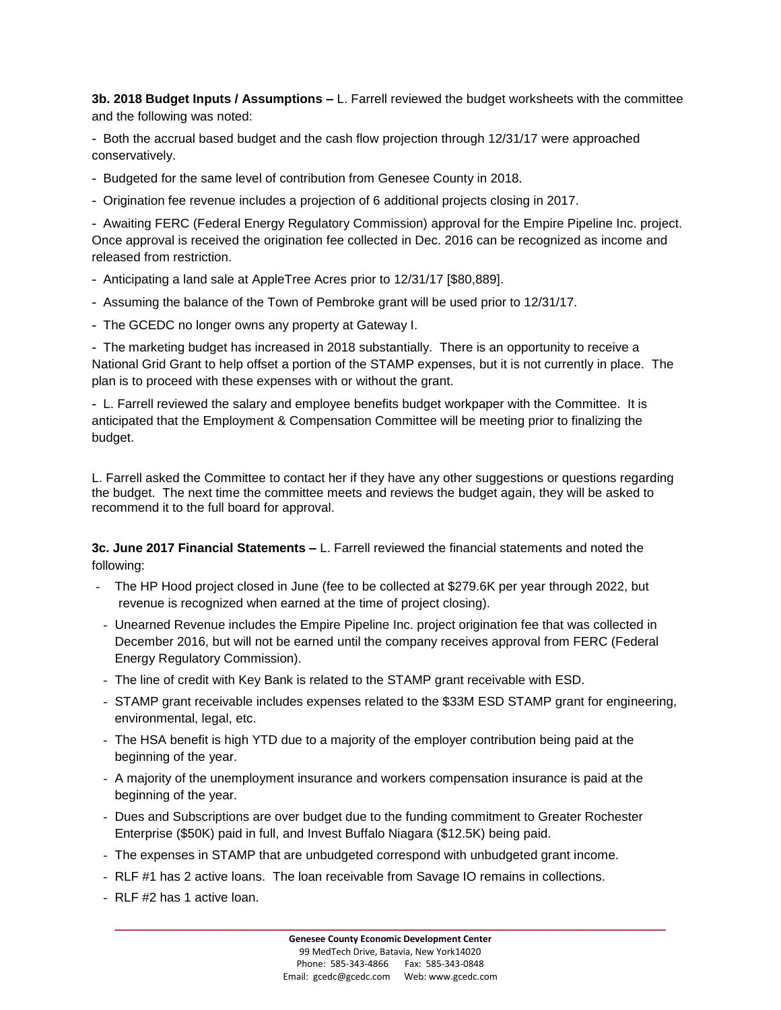**3b. 2018 Budget Inputs / Assumptions –** L. Farrell reviewed the budget worksheets with the committee and the following was noted:

- Both the accrual based budget and the cash flow projection through 12/31/17 were approached conservatively.

- Budgeted for the same level of contribution from Genesee County in 2018.
- Origination fee revenue includes a projection of 6 additional projects closing in 2017.

- Awaiting FERC (Federal Energy Regulatory Commission) approval for the Empire Pipeline Inc. project. Once approval is received the origination fee collected in Dec. 2016 can be recognized as income and released from restriction.

- Anticipating a land sale at AppleTree Acres prior to 12/31/17 [\$80,889].
- Assuming the balance of the Town of Pembroke grant will be used prior to 12/31/17.
- The GCEDC no longer owns any property at Gateway I.

- The marketing budget has increased in 2018 substantially. There is an opportunity to receive a National Grid Grant to help offset a portion of the STAMP expenses, but it is not currently in place. The plan is to proceed with these expenses with or without the grant.

- L. Farrell reviewed the salary and employee benefits budget workpaper with the Committee. It is anticipated that the Employment & Compensation Committee will be meeting prior to finalizing the budget.

L. Farrell asked the Committee to contact her if they have any other suggestions or questions regarding the budget. The next time the committee meets and reviews the budget again, they will be asked to recommend it to the full board for approval.

**3c. June 2017 Financial Statements –** L. Farrell reviewed the financial statements and noted the following:

- The HP Hood project closed in June (fee to be collected at \$279.6K per year through 2022, but revenue is recognized when earned at the time of project closing).
- Unearned Revenue includes the Empire Pipeline Inc. project origination fee that was collected in December 2016, but will not be earned until the company receives approval from FERC (Federal Energy Regulatory Commission).
- The line of credit with Key Bank is related to the STAMP grant receivable with ESD.
- STAMP grant receivable includes expenses related to the \$33M ESD STAMP grant for engineering, environmental, legal, etc.
- The HSA benefit is high YTD due to a majority of the employer contribution being paid at the beginning of the year.
- A majority of the unemployment insurance and workers compensation insurance is paid at the beginning of the year.
- Dues and Subscriptions are over budget due to the funding commitment to Greater Rochester Enterprise (\$50K) paid in full, and Invest Buffalo Niagara (\$12.5K) being paid.
- The expenses in STAMP that are unbudgeted correspond with unbudgeted grant income.
- RLF #1 has 2 active loans. The loan receivable from Savage IO remains in collections.
- RLF #2 has 1 active loan.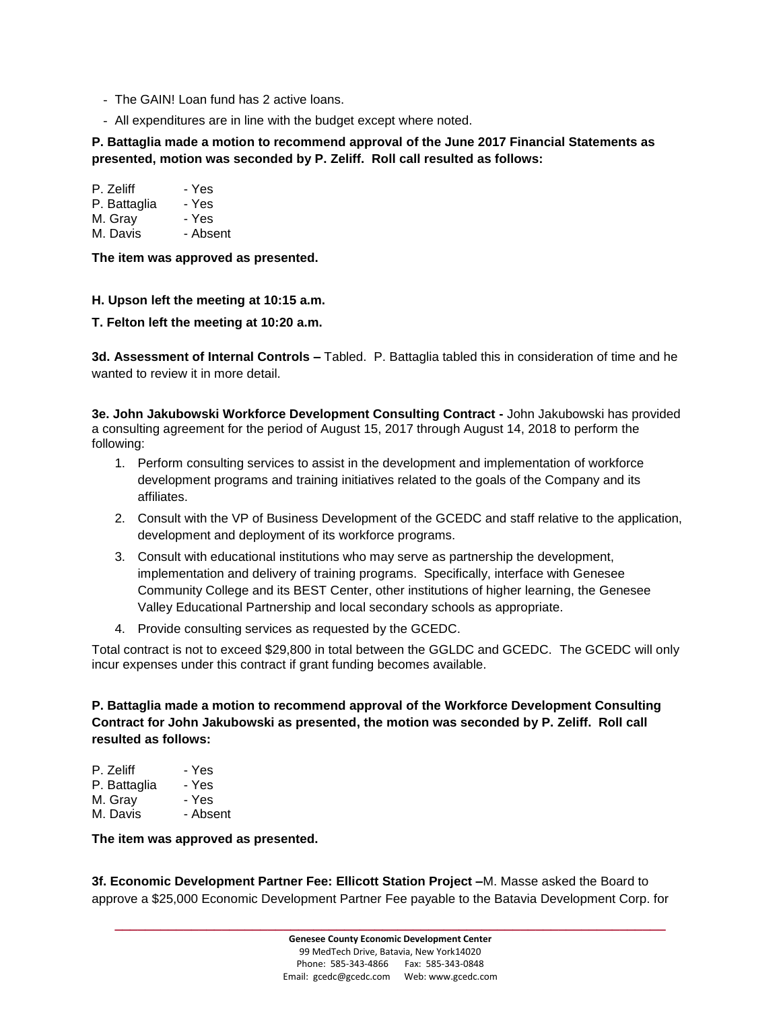- The GAIN! Loan fund has 2 active loans.
- All expenditures are in line with the budget except where noted.

### **P. Battaglia made a motion to recommend approval of the June 2017 Financial Statements as presented, motion was seconded by P. Zeliff. Roll call resulted as follows:**

| P. Zeliff    | - Yes    |
|--------------|----------|
| P. Battaglia | - Yes    |
| M. Gray      | - Yes    |
| M. Davis     | - Absent |

**The item was approved as presented.**

#### **H. Upson left the meeting at 10:15 a.m.**

**T. Felton left the meeting at 10:20 a.m.**

**3d. Assessment of Internal Controls –** Tabled. P. Battaglia tabled this in consideration of time and he wanted to review it in more detail.

**3e. John Jakubowski Workforce Development Consulting Contract -** John Jakubowski has provided a consulting agreement for the period of August 15, 2017 through August 14, 2018 to perform the following:

- 1. Perform consulting services to assist in the development and implementation of workforce development programs and training initiatives related to the goals of the Company and its affiliates.
- 2. Consult with the VP of Business Development of the GCEDC and staff relative to the application, development and deployment of its workforce programs.
- 3. Consult with educational institutions who may serve as partnership the development, implementation and delivery of training programs. Specifically, interface with Genesee Community College and its BEST Center, other institutions of higher learning, the Genesee Valley Educational Partnership and local secondary schools as appropriate.
- 4. Provide consulting services as requested by the GCEDC.

Total contract is not to exceed \$29,800 in total between the GGLDC and GCEDC. The GCEDC will only incur expenses under this contract if grant funding becomes available.

**P. Battaglia made a motion to recommend approval of the Workforce Development Consulting Contract for John Jakubowski as presented, the motion was seconded by P. Zeliff. Roll call resulted as follows:**

| P. Zeliff    | - Yes    |
|--------------|----------|
| P. Battaglia | - Yes    |
| M. Gray      | - Yes    |
| M. Davis     | - Absent |

**The item was approved as presented.**

**3f. Economic Development Partner Fee: Ellicott Station Project –**M. Masse asked the Board to approve a \$25,000 Economic Development Partner Fee payable to the Batavia Development Corp. for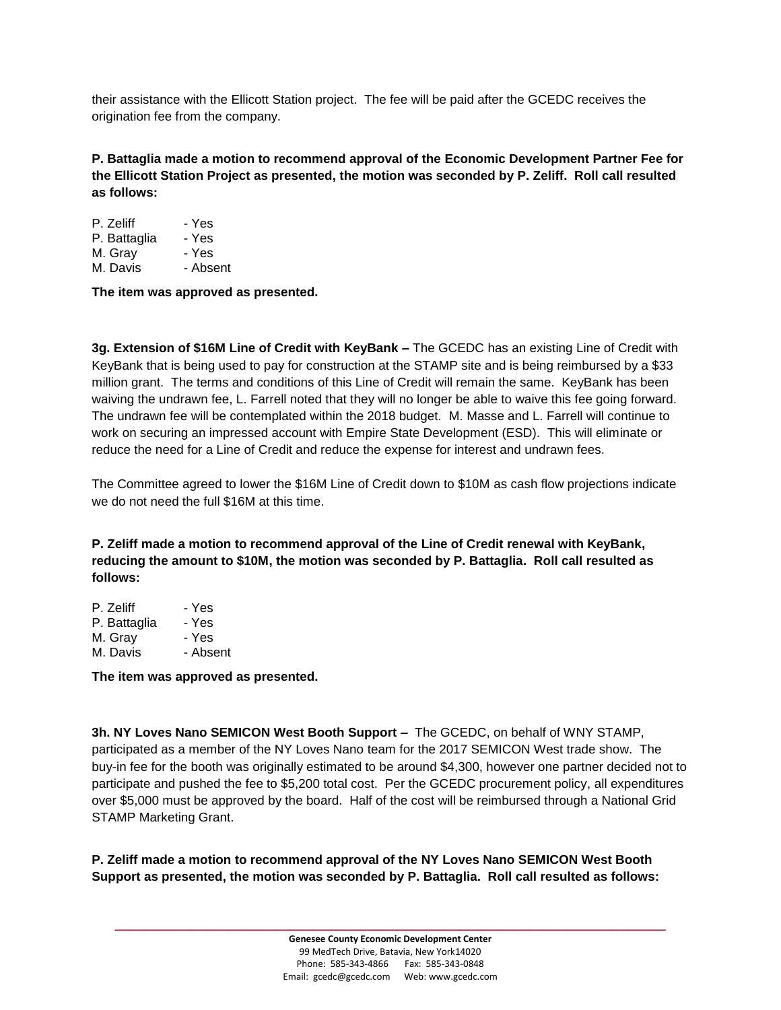their assistance with the Ellicott Station project. The fee will be paid after the GCEDC receives the origination fee from the company.

**P. Battaglia made a motion to recommend approval of the Economic Development Partner Fee for the Ellicott Station Project as presented, the motion was seconded by P. Zeliff. Roll call resulted as follows:**

| P. Zeliff    | - Yes    |
|--------------|----------|
| P. Battaglia | - Yes    |
| M. Gray      | - Yes    |
| M. Davis     | - Absent |
|              |          |

**The item was approved as presented.**

**3g. Extension of \$16M Line of Credit with KeyBank –** The GCEDC has an existing Line of Credit with KeyBank that is being used to pay for construction at the STAMP site and is being reimbursed by a \$33 million grant. The terms and conditions of this Line of Credit will remain the same. KeyBank has been waiving the undrawn fee, L. Farrell noted that they will no longer be able to waive this fee going forward. The undrawn fee will be contemplated within the 2018 budget. M. Masse and L. Farrell will continue to work on securing an impressed account with Empire State Development (ESD). This will eliminate or reduce the need for a Line of Credit and reduce the expense for interest and undrawn fees.

The Committee agreed to lower the \$16M Line of Credit down to \$10M as cash flow projections indicate we do not need the full \$16M at this time.

**P. Zeliff made a motion to recommend approval of the Line of Credit renewal with KeyBank, reducing the amount to \$10M, the motion was seconded by P. Battaglia. Roll call resulted as follows:**

| P. Zeliff    | - Yes    |
|--------------|----------|
| P. Battaglia | - Yes    |
| M. Gray      | - Yes    |
| M. Davis     | - Absent |
|              |          |

**The item was approved as presented.**

**3h. NY Loves Nano SEMICON West Booth Support –** The GCEDC, on behalf of WNY STAMP, participated as a member of the NY Loves Nano team for the 2017 SEMICON West trade show. The buy-in fee for the booth was originally estimated to be around \$4,300, however one partner decided not to participate and pushed the fee to \$5,200 total cost. Per the GCEDC procurement policy, all expenditures over \$5,000 must be approved by the board. Half of the cost will be reimbursed through a National Grid STAMP Marketing Grant.

**P. Zeliff made a motion to recommend approval of the NY Loves Nano SEMICON West Booth Support as presented, the motion was seconded by P. Battaglia. Roll call resulted as follows:**